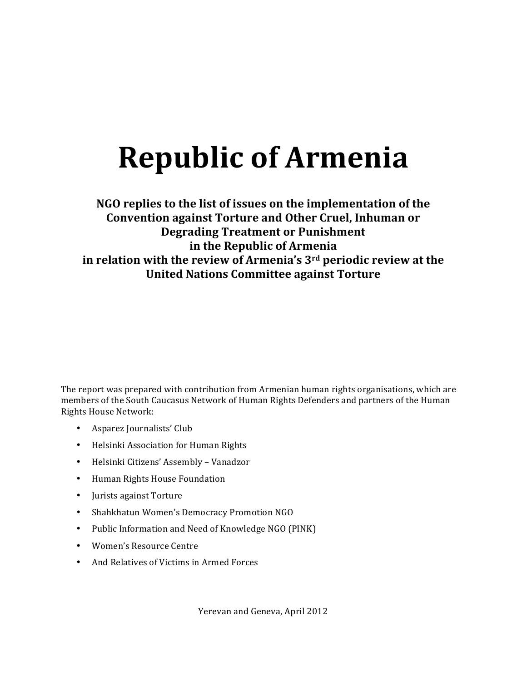# **Republic of Armenia**

# **NGO replies to the list of issues on the implementation of the Convention against Torture and Other Cruel, Inhuman or Degrading Treatment or Punishment in the Republic of Armenia in relation with the review of Armenia's 3<sup>rd</sup> periodic review at the United Nations Committee against Torture**

The report was prepared with contribution from Armenian human rights organisations, which are members of the South Caucasus Network of Human Rights Defenders and partners of the Human Rights House Network:

- Asparez Journalists' Club
- Helsinki Association for Human Rights
- Helsinki Citizens' Assembly Vanadzor
- Human Rights House Foundation
- Jurists against Torture
- Shahkhatun Women's Democracy Promotion NGO
- Public Information and Need of Knowledge NGO (PINK)
- Women's Resource Centre
- And Relatives of Victims in Armed Forces

Yerevan and Geneva, April 2012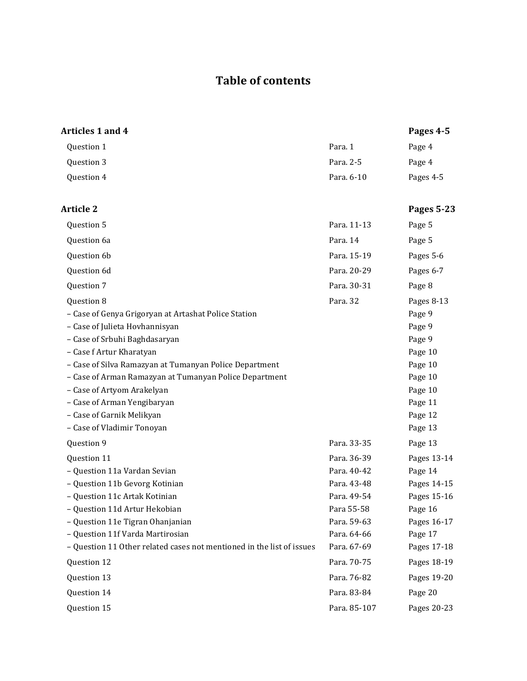# **Table of contents**

| Articles 1 and 4                                                                                                 |              | Pages 4-5          |
|------------------------------------------------------------------------------------------------------------------|--------------|--------------------|
| Question 1                                                                                                       | Para. 1      | Page 4             |
| Question 3                                                                                                       | Para. 2-5    | Page 4             |
| Question 4                                                                                                       | Para. 6-10   | Pages 4-5          |
| <b>Article 2</b>                                                                                                 |              | <b>Pages 5-23</b>  |
| Question 5                                                                                                       | Para. 11-13  | Page 5             |
| Question 6a                                                                                                      | Para. 14     | Page 5             |
| Question 6b                                                                                                      | Para. 15-19  | Pages 5-6          |
| Question 6d                                                                                                      | Para. 20-29  | Pages 6-7          |
| Question 7                                                                                                       | Para. 30-31  | Page 8             |
| Question 8                                                                                                       | Para. 32     | Pages 8-13         |
| - Case of Genya Grigoryan at Artashat Police Station<br>- Case of Julieta Hovhannisyan                           |              | Page 9<br>Page 9   |
| - Case of Srbuhi Baghdasaryan                                                                                    |              | Page 9             |
| - Case f Artur Kharatyan                                                                                         |              | Page 10            |
| - Case of Silva Ramazyan at Tumanyan Police Department<br>- Case of Arman Ramazyan at Tumanyan Police Department |              | Page 10<br>Page 10 |
| - Case of Artyom Arakelyan                                                                                       |              | Page 10            |
| - Case of Arman Yengibaryan                                                                                      |              | Page 11            |
| - Case of Garnik Melikyan                                                                                        |              | Page 12            |
| - Case of Vladimir Tonoyan                                                                                       |              | Page 13            |
| Question 9                                                                                                       | Para. 33-35  | Page 13            |
| Question 11                                                                                                      | Para. 36-39  | Pages 13-14        |
| - Question 11a Vardan Sevian                                                                                     | Para. 40-42  | Page 14            |
| - Question 11b Gevorg Kotinian                                                                                   | Para. 43-48  | Pages 14-15        |
| - Question 11c Artak Kotinian                                                                                    | Para. 49-54  | Pages 15-16        |
| – Question 11d Artur Hekobian                                                                                    | Para 55-58   | Page 16            |
| - Question 11e Tigran Ohanjanian                                                                                 | Para. 59-63  | Pages 16-17        |
| - Question 11f Varda Martirosian                                                                                 | Para. 64-66  | Page 17            |
| - Question 11 Other related cases not mentioned in the list of issues                                            | Para. 67-69  | Pages 17-18        |
| Question 12                                                                                                      | Para. 70-75  | Pages 18-19        |
| Question 13                                                                                                      | Para. 76-82  | Pages 19-20        |
| Question 14                                                                                                      | Para. 83-84  | Page 20            |
| Question 15                                                                                                      | Para. 85-107 | Pages 20-23        |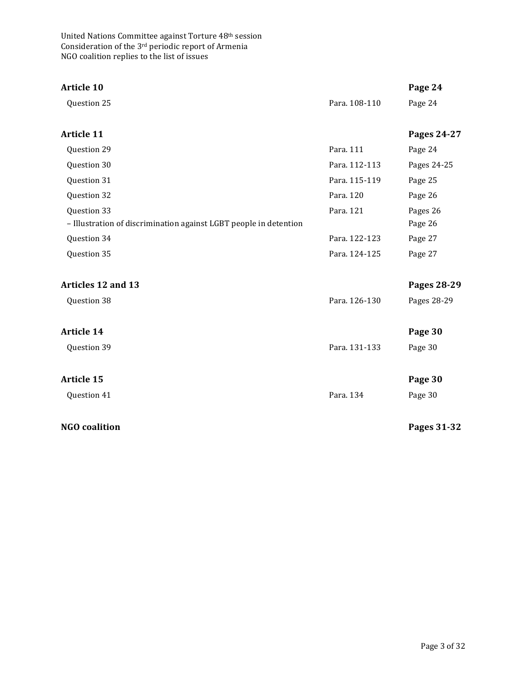| <b>Article 10</b>                                                                |               | Page 24             |
|----------------------------------------------------------------------------------|---------------|---------------------|
| Question 25                                                                      | Para. 108-110 | Page 24             |
| Article 11                                                                       |               | Pages 24-27         |
| Question 29                                                                      | Para. 111     | Page 24             |
| Question 30                                                                      | Para. 112-113 | Pages 24-25         |
| Question 31                                                                      | Para. 115-119 | Page 25             |
| Question 32                                                                      | Para. 120     | Page 26             |
| Question 33<br>- Illustration of discrimination against LGBT people in detention | Para. 121     | Pages 26<br>Page 26 |
| Question 34                                                                      | Para. 122-123 | Page 27             |
| Question 35                                                                      | Para. 124-125 | Page 27             |
| Articles 12 and 13                                                               |               | Pages 28-29         |
| Question 38                                                                      | Para. 126-130 | Pages 28-29         |
| <b>Article 14</b>                                                                |               | Page 30             |
| Question 39                                                                      | Para. 131-133 | Page 30             |
| <b>Article 15</b>                                                                |               | Page 30             |
| Question 41                                                                      | Para. 134     | Page 30             |
| <b>NGO</b> coalition                                                             |               | Pages 31-32         |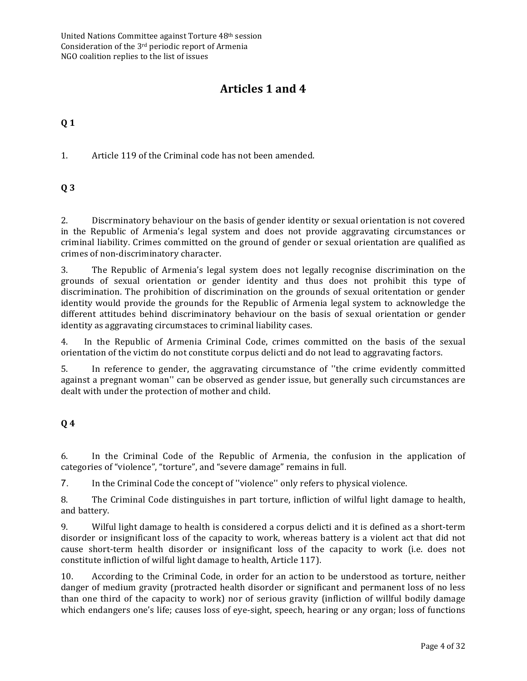# **Articles 1 and 4**

# **Q 1**

1. Article 119 of the Criminal code has not been amended.

# **Q 3**

2. Discrminatory behaviour on the basis of gender identity or sexual orientation is not covered in the Republic of Armenia's legal system and does not provide aggravating circumstances or criminal liability. Crimes committed on the ground of gender or sexual orientation are qualified as crimes of non-discriminatory character.

3. The Republic of Armenia's legal system does not legally recognise discrimination on the grounds of sexual orientation or gender identity and thus does not prohibit this type of discrimination. The prohibition of discrimination on the grounds of sexual oritentation or gender identity would provide the grounds for the Republic of Armenia legal system to acknowledge the different attitudes behind discriminatory behaviour on the basis of sexual orientation or gender identity as aggravating circumstaces to criminal liability cases.

4. In the Republic of Armenia Criminal Code, crimes committed on the basis of the sexual orientation of the victim do not constitute corpus delicti and do not lead to aggravating factors.

5. In reference to gender, the aggravating circumstance of "the crime evidently committed against a pregnant woman'' can be observed as gender issue, but generally such circumstances are dealt with under the protection of mother and child.

# **Q 4**

6. In the Criminal Code of the Republic of Armenia, the confusion in the application of categories of "violence", "torture", and "severe damage" remains in full.

7. In the Criminal Code the concept of "violence" only refers to physical violence.

8. The Criminal Code distinguishes in part torture, infliction of wilful light damage to health, and battery.

9. Wilful light damage to health is considered a corpus delicti and it is defined as a short-term disorder or insignificant loss of the capacity to work, whereas battery is a violent act that did not cause short-term health disorder or insignificant loss of the capacity to work (i.e. does not constitute infliction of wilful light damage to health, Article 117).

10. According to the Criminal Code, in order for an action to be understood as torture, neither danger of medium gravity (protracted health disorder or significant and permanent loss of no less than one third of the capacity to work) nor of serious gravity (infliction of willful bodily damage which endangers one's life; causes loss of eye-sight, speech, hearing or any organ; loss of functions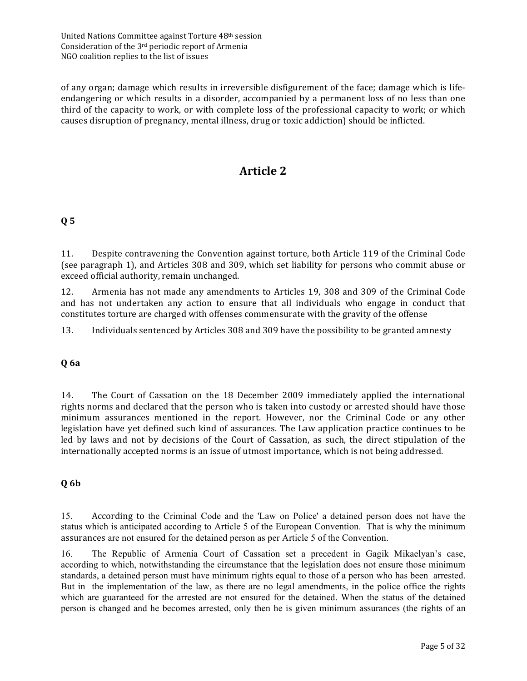of any organ; damage which results in irreversible disfigurement of the face; damage which is lifeendangering or which results in a disorder, accompanied by a permanent loss of no less than one third of the capacity to work, or with complete loss of the professional capacity to work; or which causes disruption of pregnancy, mental illness, drug or toxic addiction) should be inflicted.

# **Article 2**

# **Q 5**

11. Despite contravening the Convention against torture, both Article 119 of the Criminal Code (see paragraph 1), and Articles 308 and 309, which set liability for persons who commit abuse or exceed official authority, remain unchanged.

12. Armenia has not made any amendments to Articles 19, 308 and 309 of the Criminal Code and has not undertaken any action to ensure that all individuals who engage in conduct that constitutes torture are charged with offenses commensurate with the gravity of the offense

13. Individuals sentenced by Articles 308 and 309 have the possibility to be granted amnesty

#### **Q 6a**

14. The Court of Cassation on the 18 December 2009 immediately applied the international rights norms and declared that the person who is taken into custody or arrested should have those minimum assurances mentioned in the report. However, nor the Criminal Code or any other legislation have vet defined such kind of assurances. The Law application practice continues to be led by laws and not by decisions of the Court of Cassation, as such, the direct stipulation of the internationally accepted norms is an issue of utmost importance, which is not being addressed.

#### **Q 6b**

15. According to the Criminal Code and the 'Law on Police' a detained person does not have the status which is anticipated according to Article 5 of the European Convention. That is why the minimum assurances are not ensured for the detained person as per Article 5 of the Convention.

16. The Republic of Armenia Court of Cassation set a precedent in Gagik Mikaelyan's case, according to which, notwithstanding the circumstance that the legislation does not ensure those minimum standards, a detained person must have minimum rights equal to those of a person who has been arrested. But in the implementation of the law, as there are no legal amendments, in the police office the rights which are guaranteed for the arrested are not ensured for the detained. When the status of the detained person is changed and he becomes arrested, only then he is given minimum assurances (the rights of an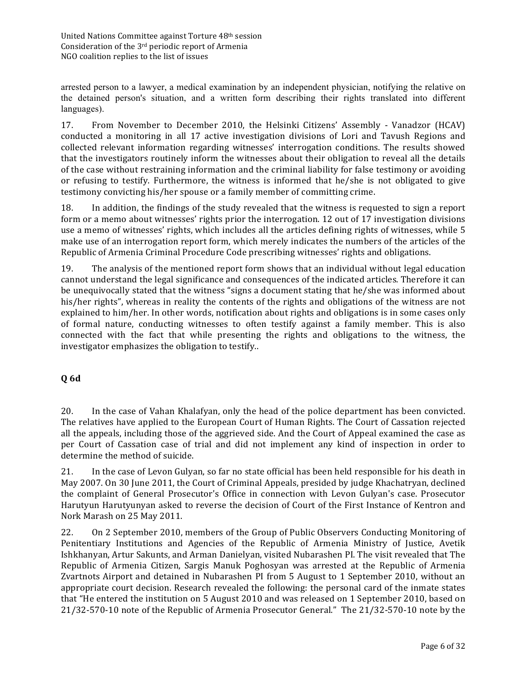arrested person to a lawyer, a medical examination by an independent physician, notifying the relative on the detained person's situation, and a written form describing their rights translated into different languages).

17. From November to December 2010, the Helsinki Citizens' Assembly - Vanadzor (HCAV) conducted a monitoring in all 17 active investigation divisions of Lori and Tavush Regions and collected relevant information regarding witnesses' interrogation conditions. The results showed that the investigators routinely inform the witnesses about their obligation to reveal all the details of the case without restraining information and the criminal liability for false testimony or avoiding or refusing to testify. Furthermore, the witness is informed that he/she is not obligated to give testimony convicting his/her spouse or a family member of committing crime.

18. In addition, the findings of the study revealed that the witness is requested to sign a report form or a memo about witnesses' rights prior the interrogation. 12 out of 17 investigation divisions use a memo of witnesses' rights, which includes all the articles defining rights of witnesses, while 5 make use of an interrogation report form, which merely indicates the numbers of the articles of the Republic of Armenia Criminal Procedure Code prescribing witnesses' rights and obligations.

19. The analysis of the mentioned report form shows that an individual without legal education cannot understand the legal significance and consequences of the indicated articles. Therefore it can be unequivocally stated that the witness "signs a document stating that he/she was informed about his/her rights", whereas in reality the contents of the rights and obligations of the witness are not explained to him/her. In other words, notification about rights and obligations is in some cases only of formal nature, conducting witnesses to often testify against a family member. This is also connected with the fact that while presenting the rights and obligations to the witness, the investigator emphasizes the obligation to testify..

# **Q 6d**

20. In the case of Vahan Khalafyan, only the head of the police department has been convicted. The relatives have applied to the European Court of Human Rights. The Court of Cassation rejected all the appeals, including those of the aggrieved side. And the Court of Appeal examined the case as per Court of Cassation case of trial and did not implement any kind of inspection in order to determine the method of suicide.

21. In the case of Levon Gulyan, so far no state official has been held responsible for his death in May 2007. On 30 June 2011, the Court of Criminal Appeals, presided by judge Khachatryan, declined the complaint of General Prosecutor's Office in connection with Levon Gulyan's case. Prosecutor Harutyun Harutyunyan asked to reverse the decision of Court of the First Instance of Kentron and Nork Marash on 25 May 2011.

22. On 2 September 2010, members of the Group of Public Observers Conducting Monitoring of Penitentiary Institutions and Agencies of the Republic of Armenia Ministry of Justice, Avetik Ishkhanyan, Artur Sakunts, and Arman Danielyan, visited Nubarashen PI. The visit revealed that The Republic of Armenia Citizen, Sargis Manuk Poghosyan was arrested at the Republic of Armenia Zvartnots Airport and detained in Nubarashen PI from 5 August to 1 September 2010, without an appropriate court decision. Research revealed the following: the personal card of the inmate states that "He entered the institution on 5 August 2010 and was released on 1 September 2010, based on 21/32-570-10 note of the Republic of Armenia Prosecutor General." The 21/32-570-10 note by the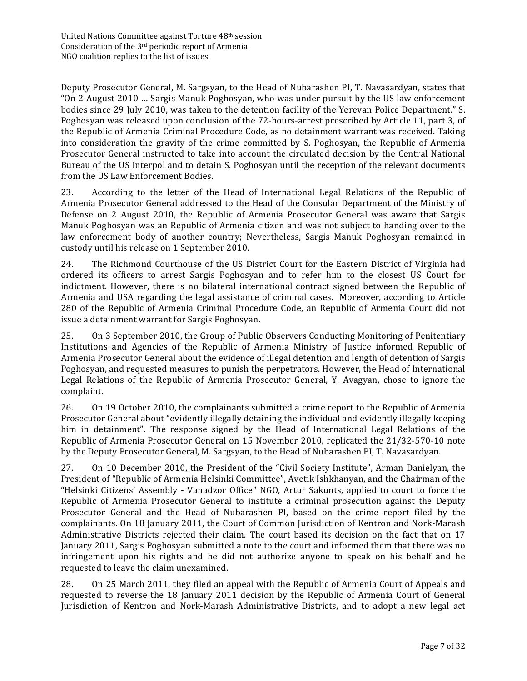Deputy Prosecutor General, M. Sargsyan, to the Head of Nubarashen PI, T. Navasardyan, states that "On 2 August 2010 ... Sargis Manuk Poghosyan, who was under pursuit by the US law enforcement bodies since 29 July 2010, was taken to the detention facility of the Yerevan Police Department." S. Poghosyan was released upon conclusion of the 72-hours-arrest prescribed by Article 11, part 3, of the Republic of Armenia Criminal Procedure Code, as no detainment warrant was received. Taking into consideration the gravity of the crime committed by S. Poghosyan, the Republic of Armenia Prosecutor General instructed to take into account the circulated decision by the Central National Bureau of the US Interpol and to detain S. Poghosyan until the reception of the relevant documents from the US Law Enforcement Bodies.

23. According to the letter of the Head of International Legal Relations of the Republic of Armenia Prosecutor General addressed to the Head of the Consular Department of the Ministry of Defense on 2 August 2010, the Republic of Armenia Prosecutor General was aware that Sargis Manuk Poghosyan was an Republic of Armenia citizen and was not subject to handing over to the law enforcement body of another country; Nevertheless, Sargis Manuk Poghosyan remained in custody until his release on 1 September 2010.

24. The Richmond Courthouse of the US District Court for the Eastern District of Virginia had ordered its officers to arrest Sargis Poghosyan and to refer him to the closest US Court for indictment. However, there is no bilateral international contract signed between the Republic of Armenia and USA regarding the legal assistance of criminal cases. Moreover, according to Article 280 of the Republic of Armenia Criminal Procedure Code, an Republic of Armenia Court did not issue a detainment warrant for Sargis Poghosyan.

25. On 3 September 2010, the Group of Public Observers Conducting Monitoring of Penitentiary Institutions and Agencies of the Republic of Armenia Ministry of Justice informed Republic of Armenia Prosecutor General about the evidence of illegal detention and length of detention of Sargis Poghosyan, and requested measures to punish the perpetrators. However, the Head of International Legal Relations of the Republic of Armenia Prosecutor General, Y. Avagyan, chose to ignore the complaint. 

26. On 19 October 2010, the complainants submitted a crime report to the Republic of Armenia Prosecutor General about "evidently illegally detaining the individual and evidently illegally keeping him in detainment". The response signed by the Head of International Legal Relations of the Republic of Armenia Prosecutor General on 15 November 2010, replicated the 21/32-570-10 note by the Deputy Prosecutor General, M. Sargsyan, to the Head of Nubarashen PI, T. Navasardyan.

27. On 10 December 2010, the President of the "Civil Society Institute", Arman Danielyan, the President of "Republic of Armenia Helsinki Committee", Avetik Ishkhanyan, and the Chairman of the "Helsinki Citizens' Assembly - Vanadzor Office" NGO, Artur Sakunts, applied to court to force the Republic of Armenia Prosecutor General to institute a criminal prosecution against the Deputy Prosecutor General and the Head of Nubarashen PI, based on the crime report filed by the complainants. On 18 January 2011, the Court of Common Jurisdiction of Kentron and Nork-Marash Administrative Districts rejected their claim. The court based its decision on the fact that on 17 January 2011, Sargis Poghosyan submitted a note to the court and informed them that there was no infringement upon his rights and he did not authorize anyone to speak on his behalf and he requested to leave the claim unexamined.

28. On 25 March 2011, they filed an appeal with the Republic of Armenia Court of Appeals and requested to reverse the 18 January 2011 decision by the Republic of Armenia Court of General Jurisdiction of Kentron and Nork-Marash Administrative Districts, and to adopt a new legal act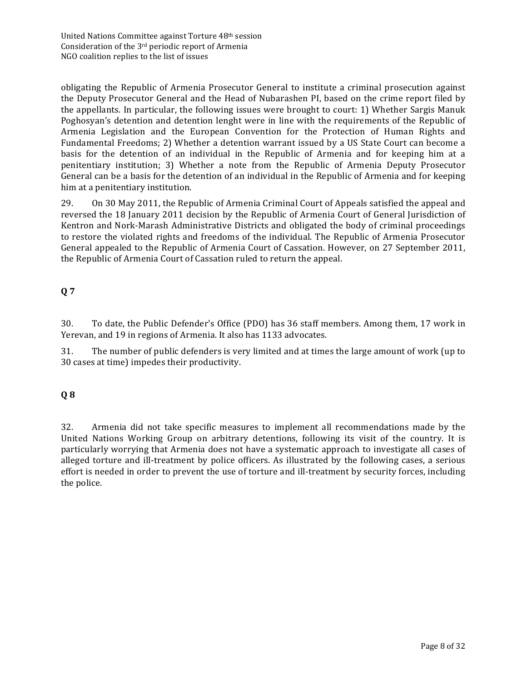obligating the Republic of Armenia Prosecutor General to institute a criminal prosecution against the Deputy Prosecutor General and the Head of Nubarashen PI, based on the crime report filed by the appellants. In particular, the following issues were brought to court: 1) Whether Sargis Manuk Poghosyan's detention and detention lenght were in line with the requirements of the Republic of Armenia Legislation and the European Convention for the Protection of Human Rights and Fundamental Freedoms; 2) Whether a detention warrant issued by a US State Court can become a basis for the detention of an individual in the Republic of Armenia and for keeping him at a penitentiary institution; 3) Whether a note from the Republic of Armenia Deputy Prosecutor General can be a basis for the detention of an individual in the Republic of Armenia and for keeping him at a penitentiary institution.

29. On 30 May 2011, the Republic of Armenia Criminal Court of Appeals satisfied the appeal and reversed the 18 January 2011 decision by the Republic of Armenia Court of General Jurisdiction of Kentron and Nork-Marash Administrative Districts and obligated the body of criminal proceedings to restore the violated rights and freedoms of the individual. The Republic of Armenia Prosecutor General appealed to the Republic of Armenia Court of Cassation. However, on 27 September 2011, the Republic of Armenia Court of Cassation ruled to return the appeal.

# **Q 7**

30. To date, the Public Defender's Office (PDO) has 36 staff members. Among them, 17 work in Yerevan, and 19 in regions of Armenia. It also has 1133 advocates.

31. The number of public defenders is very limited and at times the large amount of work (up to 30 cases at time) impedes their productivity.

# **Q 8**

32. Armenia did not take specific measures to implement all recommendations made by the United Nations Working Group on arbitrary detentions, following its visit of the country. It is particularly worrying that Armenia does not have a systematic approach to investigate all cases of alleged torture and ill-treatment by police officers. As illustrated by the following cases, a serious effort is needed in order to prevent the use of torture and ill-treatment by security forces, including the police.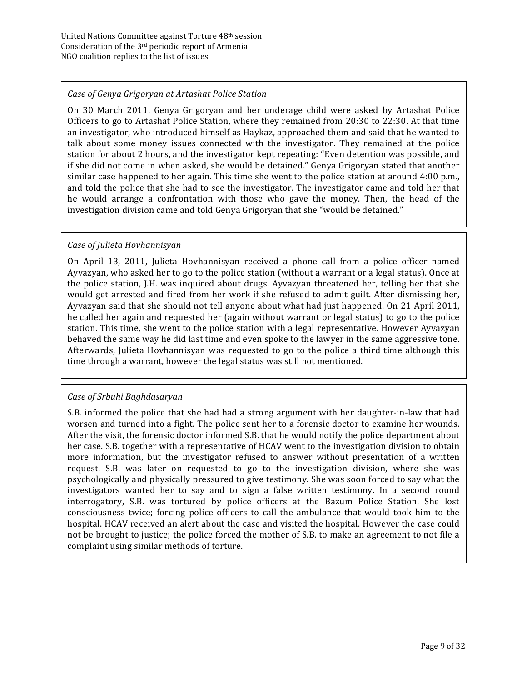#### *Case of Genya Grigoryan at Artashat Police Station*

On 30 March 2011, Genya Grigoryan and her underage child were asked by Artashat Police Officers to go to Artashat Police Station, where they remained from 20:30 to 22:30. At that time an investigator, who introduced himself as Haykaz, approached them and said that he wanted to talk about some money issues connected with the investigator. They remained at the police station for about 2 hours, and the investigator kept repeating: "Even detention was possible, and if she did not come in when asked, she would be detained." Genya Grigoryan stated that another similar case happened to her again. This time she went to the police station at around  $4:00$  p.m., and told the police that she had to see the investigator. The investigator came and told her that he would arrange a confrontation with those who gave the money. Then, the head of the investigation division came and told Genya Grigoryan that she "would be detained."

#### *Case of Julieta Hovhannisyan*

On April 13, 2011, Julieta Hovhannisyan received a phone call from a police officer named Ayvazyan, who asked her to go to the police station (without a warrant or a legal status). Once at the police station, J.H. was inquired about drugs. Ayvazyan threatened her, telling her that she would get arrested and fired from her work if she refused to admit guilt. After dismissing her, Ayvazyan said that she should not tell anyone about what had just happened. On 21 April 2011, he called her again and requested her (again without warrant or legal status) to go to the police station. This time, she went to the police station with a legal representative. However Ayvazyan behaved the same way he did last time and even spoke to the lawyer in the same aggressive tone. Afterwards, Julieta Hovhannisyan was requested to go to the police a third time although this time through a warrant, however the legal status was still not mentioned.

#### *Case of Srbuhi Baghdasaryan*

S.B. informed the police that she had had a strong argument with her daughter-in-law that had worsen and turned into a fight. The police sent her to a forensic doctor to examine her wounds. After the visit, the forensic doctor informed S.B. that he would notify the police department about her case. S.B. together with a representative of HCAV went to the investigation division to obtain more information, but the investigator refused to answer without presentation of a written request. S.B. was later on requested to go to the investigation division, where she was psychologically and physically pressured to give testimony. She was soon forced to say what the investigators wanted her to say and to sign a false written testimony. In a second round interrogatory, S.B. was tortured by police officers at the Bazum Police Station. She lost consciousness twice; forcing police officers to call the ambulance that would took him to the hospital. HCAV received an alert about the case and visited the hospital. However the case could not be brought to justice; the police forced the mother of S.B. to make an agreement to not file a complaint using similar methods of torture.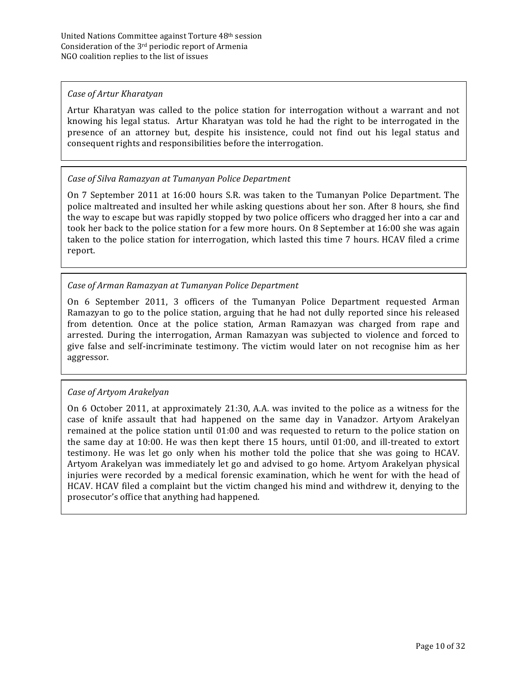#### *Case of Artur Kharatyan*

Artur Kharatyan was called to the police station for interrogation without a warrant and not knowing his legal status. Artur Kharatyan was told he had the right to be interrogated in the presence of an attorney but, despite his insistence, could not find out his legal status and consequent rights and responsibilities before the interrogation.

#### *Case of Silva Ramazyan at Tumanyan Police Department*

On 7 September 2011 at 16:00 hours S.R. was taken to the Tumanyan Police Department. The police maltreated and insulted her while asking questions about her son. After 8 hours, she find the way to escape but was rapidly stopped by two police officers who dragged her into a car and took her back to the police station for a few more hours. On 8 September at 16:00 she was again taken to the police station for interrogation, which lasted this time 7 hours. HCAV filed a crime report. 

## *Case of Arman Ramazyan at Tumanyan Police Department*

On 6 September 2011, 3 officers of the Tumanyan Police Department requested Arman Ramazyan to go to the police station, arguing that he had not dully reported since his released from detention. Once at the police station, Arman Ramazyan was charged from rape and arrested. During the interrogation, Arman Ramazyan was subjected to violence and forced to give false and self-incriminate testimony. The victim would later on not recognise him as her aggressor. 

#### *Case of Artyom Arakelyan*

On 6 October 2011, at approximately 21:30, A.A. was invited to the police as a witness for the case of knife assault that had happened on the same day in Vanadzor. Artyom Arakelyan remained at the police station until  $01:00$  and was requested to return to the police station on the same day at  $10:00$ . He was then kept there 15 hours, until  $01:00$ , and ill-treated to extort testimony. He was let go only when his mother told the police that she was going to HCAV. Artyom Arakelyan was immediately let go and advised to go home. Artyom Arakelyan physical injuries were recorded by a medical forensic examination, which he went for with the head of HCAV. HCAV filed a complaint but the victim changed his mind and withdrew it, denying to the prosecutor's office that anything had happened.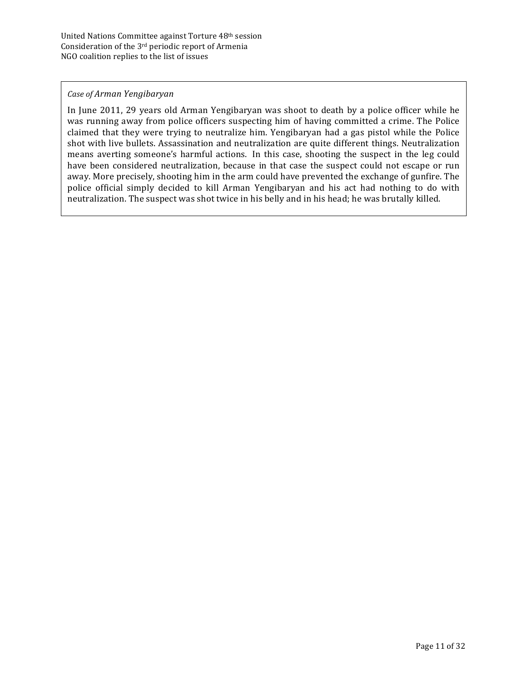#### *Case of Arman Yengibaryan*

In June 2011, 29 years old Arman Yengibaryan was shoot to death by a police officer while he was running away from police officers suspecting him of having committed a crime. The Police claimed that they were trying to neutralize him. Yengibaryan had a gas pistol while the Police shot with live bullets. Assassination and neutralization are quite different things. Neutralization means averting someone's harmful actions. In this case, shooting the suspect in the leg could have been considered neutralization, because in that case the suspect could not escape or run away. More precisely, shooting him in the arm could have prevented the exchange of gunfire. The police official simply decided to kill Arman Yengibaryan and his act had nothing to do with neutralization. The suspect was shot twice in his belly and in his head; he was brutally killed.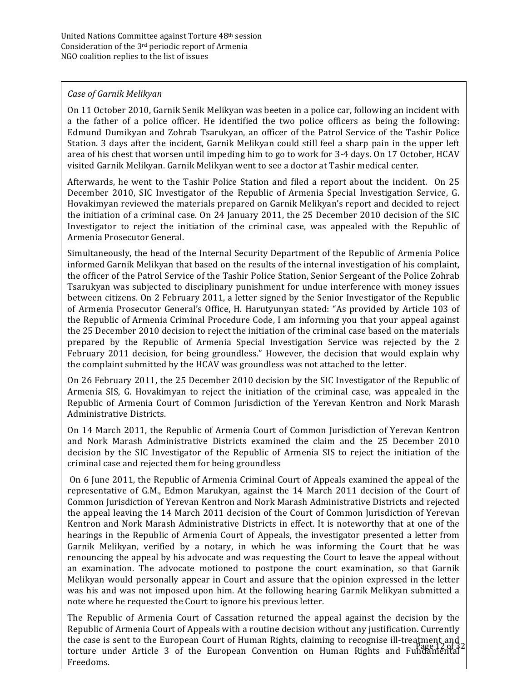#### *Case of Garnik Melikyan*

On 11 October 2010, Garnik Senik Melikyan was beeten in a police car, following an incident with a the father of a police officer. He identified the two police officers as being the following: Edmund Dumikyan and Zohrab Tsarukyan, an officer of the Patrol Service of the Tashir Police Station. 3 days after the incident, Garnik Melikyan could still feel a sharp pain in the upper left area of his chest that worsen until impeding him to go to work for 3-4 days. On 17 October, HCAV visited Garnik Melikyan. Garnik Melikyan went to see a doctor at Tashir medical center.

Afterwards, he went to the Tashir Police Station and filed a report about the incident. On 25 December 2010, SIC Investigator of the Republic of Armenia Special Investigation Service, G. Hovakimyan reviewed the materials prepared on Garnik Melikyan's report and decided to reject the initiation of a criminal case. On 24 January 2011, the 25 December 2010 decision of the SIC Investigator to reject the initiation of the criminal case, was appealed with the Republic of Armenia Prosecutor General.

Simultaneously, the head of the Internal Security Department of the Republic of Armenia Police informed Garnik Melikyan that based on the results of the internal investigation of his complaint, the officer of the Patrol Service of the Tashir Police Station, Senior Sergeant of the Police Zohrab Tsarukyan was subjected to disciplinary punishment for undue interference with money issues between citizens. On 2 February 2011, a letter signed by the Senior Investigator of the Republic of Armenia Prosecutor General's Office, H. Harutyunyan stated: "As provided by Article 103 of the Republic of Armenia Criminal Procedure Code, I am informing you that your appeal against the 25 December 2010 decision to reject the initiation of the criminal case based on the materials prepared by the Republic of Armenia Special Investigation Service was rejected by the 2 February 2011 decision, for being groundless." However, the decision that would explain why the complaint submitted by the HCAV was groundless was not attached to the letter.

On 26 February 2011, the 25 December 2010 decision by the SIC Investigator of the Republic of Armenia SIS, G. Hovakimyan to reject the initiation of the criminal case, was appealed in the Republic of Armenia Court of Common Jurisdiction of the Yerevan Kentron and Nork Marash Administrative Districts.

On 14 March 2011, the Republic of Armenia Court of Common Jurisdiction of Yerevan Kentron and Nork Marash Administrative Districts examined the claim and the 25 December 2010 decision by the SIC Investigator of the Republic of Armenia SIS to reject the initiation of the criminal case and rejected them for being groundless

On 6 June 2011, the Republic of Armenia Criminal Court of Appeals examined the appeal of the representative of G.M., Edmon Marukyan, against the 14 March 2011 decision of the Court of Common Jurisdiction of Yerevan Kentron and Nork Marash Administrative Districts and rejected the appeal leaving the 14 March 2011 decision of the Court of Common Jurisdiction of Yerevan Kentron and Nork Marash Administrative Districts in effect. It is noteworthy that at one of the hearings in the Republic of Armenia Court of Appeals, the investigator presented a letter from Garnik Melikyan, verified by a notary, in which he was informing the Court that he was renouncing the appeal by his advocate and was requesting the Court to leave the appeal without an examination. The advocate motioned to postpone the court examination, so that Garnik Melikyan would personally appear in Court and assure that the opinion expressed in the letter was his and was not imposed upon him. At the following hearing Garnik Melikyan submitted a note where he requested the Court to ignore his previous letter.

the case is sent to the European Court of Human Rights, claiming to recognise ill-treatment and the function of the European Convention on Human Rights, and European 2.0132 The Republic of Armenia Court of Cassation returned the appeal against the decision by the Republic of Armenia Court of Appeals with a routine decision without any justification. Currently torture under Article 3 of the European Convention on Human Rights and Fundamental Freedoms.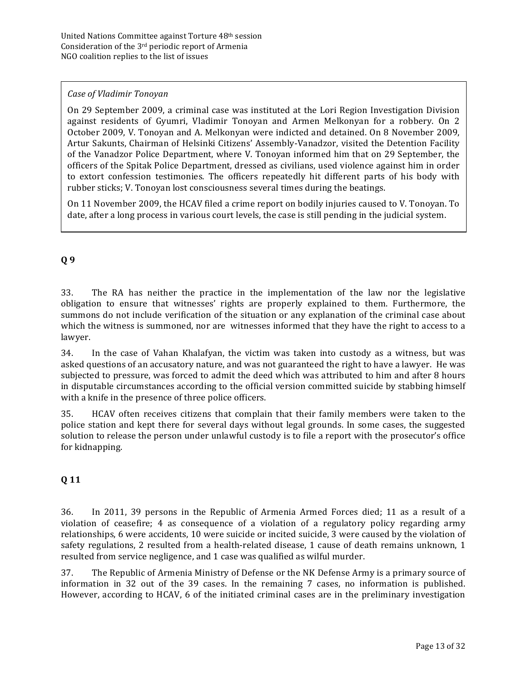#### *Case of Vladimir Tonoyan*

On 29 September 2009, a criminal case was instituted at the Lori Region Investigation Division against residents of Gyumri, Vladimir Tonoyan and Armen Melkonyan for a robbery. On 2 October 2009, V. Tonoyan and A. Melkonyan were indicted and detained. On 8 November 2009, Artur Sakunts, Chairman of Helsinki Citizens' Assembly-Vanadzor, visited the Detention Facility of the Vanadzor Police Department, where V. Tonoyan informed him that on 29 September, the officers of the Spitak Police Department, dressed as civilians, used violence against him in order to extort confession testimonies. The officers repeatedly hit different parts of his body with rubber sticks; V. Tonoyan lost consciousness several times during the beatings.

On 11 November 2009, the HCAV filed a crime report on bodily injuries caused to V. Tonoyan. To date, after a long process in various court levels, the case is still pending in the judicial system.

# **Q 9**

33. The RA has neither the practice in the implementation of the law nor the legislative obligation to ensure that witnesses' rights are properly explained to them. Furthermore, the summons do not include verification of the situation or any explanation of the criminal case about which the witness is summoned, nor are witnesses informed that they have the right to access to a lawyer. 

34. In the case of Vahan Khalafyan, the victim was taken into custody as a witness, but was asked questions of an accusatory nature, and was not guaranteed the right to have a lawyer. He was subjected to pressure, was forced to admit the deed which was attributed to him and after 8 hours in disputable circumstances according to the official version committed suicide by stabbing himself with a knife in the presence of three police officers.

35. HCAV often receives citizens that complain that their family members were taken to the police station and kept there for several days without legal grounds. In some cases, the suggested solution to release the person under unlawful custody is to file a report with the prosecutor's office for kidnapping.

# **Q 11**

36. In 2011, 39 persons in the Republic of Armenia Armed Forces died; 11 as a result of a violation of ceasefire; 4 as consequence of a violation of a regulatory policy regarding army relationships, 6 were accidents, 10 were suicide or incited suicide, 3 were caused by the violation of safety regulations, 2 resulted from a health-related disease, 1 cause of death remains unknown, 1 resulted from service negligence, and 1 case was qualified as wilful murder.

37. The Republic of Armenia Ministry of Defense or the NK Defense Army is a primary source of information in 32 out of the 39 cases. In the remaining 7 cases, no information is published. However, according to HCAV, 6 of the initiated criminal cases are in the preliminary investigation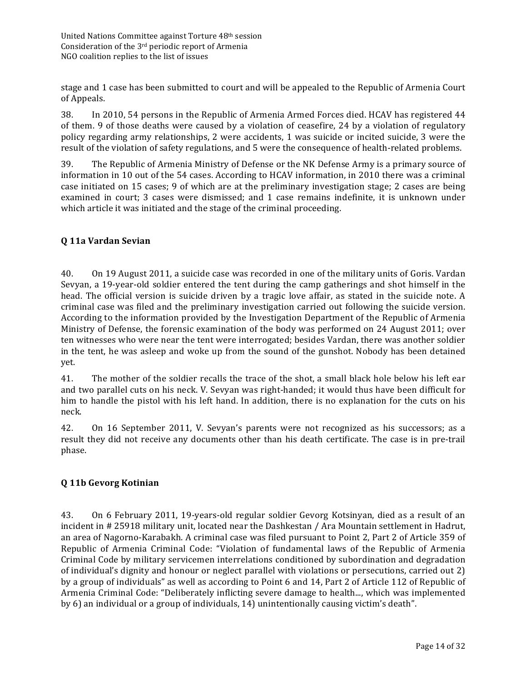stage and 1 case has been submitted to court and will be appealed to the Republic of Armenia Court of Appeals.

38. In 2010, 54 persons in the Republic of Armenia Armed Forces died. HCAV has registered 44 of them. 9 of those deaths were caused by a violation of ceasefire, 24 by a violation of regulatory policy regarding army relationships, 2 were accidents, 1 was suicide or incited suicide, 3 were the result of the violation of safety regulations, and 5 were the consequence of health-related problems.

39. The Republic of Armenia Ministry of Defense or the NK Defense Army is a primary source of information in 10 out of the 54 cases. According to HCAV information, in 2010 there was a criminal case initiated on 15 cases; 9 of which are at the preliminary investigation stage; 2 cases are being examined in court; 3 cases were dismissed; and 1 case remains indefinite, it is unknown under which article it was initiated and the stage of the criminal proceeding.

# **Q 11a Vardan Sevian**

40. On 19 August 2011, a suicide case was recorded in one of the military units of Goris. Vardan Sevyan, a 19-year-old soldier entered the tent during the camp gatherings and shot himself in the head. The official version is suicide driven by a tragic love affair, as stated in the suicide note. A criminal case was filed and the preliminary investigation carried out following the suicide version. According to the information provided by the Investigation Department of the Republic of Armenia Ministry of Defense, the forensic examination of the body was performed on 24 August 2011; over ten witnesses who were near the tent were interrogated; besides Vardan, there was another soldier in the tent, he was asleep and woke up from the sound of the gunshot. Nobody has been detained yet. 

41. The mother of the soldier recalls the trace of the shot, a small black hole below his left ear and two parallel cuts on his neck. V. Sevyan was right-handed; it would thus have been difficult for him to handle the pistol with his left hand. In addition, there is no explanation for the cuts on his neck. 

42. On 16 September 2011, V. Sevyan's parents were not recognized as his successors; as a result they did not receive any documents other than his death certificate. The case is in pre-trail phase.

# **Q 11b Gevorg Kotinian**

43. On 6 February 2011, 19-years-old regular soldier Gevorg Kotsinyan, died as a result of an incident in  $\#$  25918 military unit, located near the Dashkestan / Ara Mountain settlement in Hadrut, an area of Nagorno-Karabakh. A criminal case was filed pursuant to Point 2, Part 2 of Article 359 of Republic of Armenia Criminal Code: "Violation of fundamental laws of the Republic of Armenia Criminal Code by military servicemen interrelations conditioned by subordination and degradation of individual's dignity and honour or neglect parallel with violations or persecutions, carried out 2) by a group of individuals" as well as according to Point 6 and 14, Part 2 of Article 112 of Republic of Armenia Criminal Code: "Deliberately inflicting severe damage to health..., which was implemented by 6) an individual or a group of individuals, 14) unintentionally causing victim's death".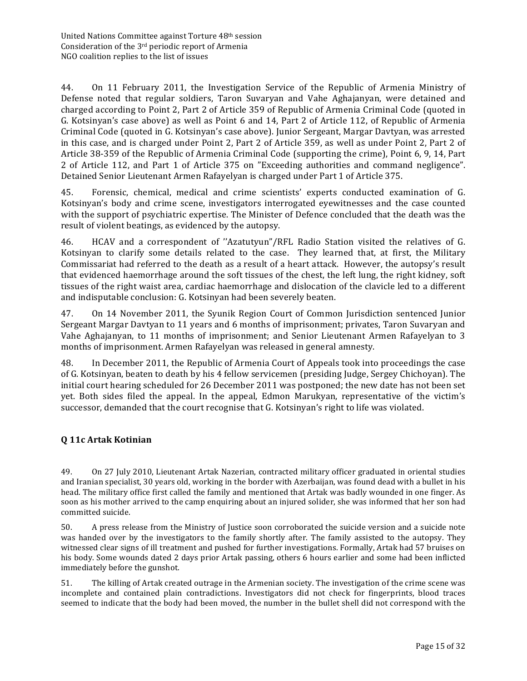44. On 11 February 2011, the Investigation Service of the Republic of Armenia Ministry of Defense noted that regular soldiers, Taron Suvaryan and Vahe Aghajanyan, were detained and charged according to Point 2, Part 2 of Article 359 of Republic of Armenia Criminal Code (quoted in G. Kotsinyan's case above) as well as Point 6 and 14, Part 2 of Article 112, of Republic of Armenia Criminal Code (quoted in G. Kotsinyan's case above). Junior Sergeant, Margar Davtyan, was arrested in this case, and is charged under Point 2, Part 2 of Article 359, as well as under Point 2, Part 2 of Article 38-359 of the Republic of Armenia Criminal Code (supporting the crime), Point 6, 9, 14, Part 2 of Article 112, and Part 1 of Article 375 on "Exceeding authorities and command negligence". Detained Senior Lieutenant Armen Rafayelyan is charged under Part 1 of Article 375.

45. Forensic, chemical, medical and crime scientists' experts conducted examination of G. Kotsinyan's body and crime scene, investigators interrogated eyewitnesses and the case counted with the support of psychiatric expertise. The Minister of Defence concluded that the death was the result of violent beatings, as evidenced by the autopsy.

46. HCAV and a correspondent of "Azatutyun"/RFL Radio Station visited the relatives of G. Kotsinyan to clarify some details related to the case. They learned that, at first, the Military Commissariat had referred to the death as a result of a heart attack. However, the autopsy's result that evidenced haemorrhage around the soft tissues of the chest, the left lung, the right kidney, soft tissues of the right waist area, cardiac haemorrhage and dislocation of the clavicle led to a different and indisputable conclusion: G. Kotsinyan had been severely beaten.

47. On 14 November 2011, the Syunik Region Court of Common Jurisdiction sentenced Junior Sergeant Margar Davtyan to 11 years and 6 months of imprisonment; privates, Taron Suvaryan and Vahe Aghajanyan, to 11 months of imprisonment; and Senior Lieutenant Armen Rafayelyan to 3 months of imprisonment. Armen Rafayelyan was released in general amnesty.

48. In December 2011, the Republic of Armenia Court of Appeals took into proceedings the case of G. Kotsinyan, beaten to death by his 4 fellow servicemen (presiding Judge, Sergey Chichoyan). The initial court hearing scheduled for 26 December 2011 was postponed; the new date has not been set yet. Both sides filed the appeal. In the appeal, Edmon Marukyan, representative of the victim's successor, demanded that the court recognise that G. Kotsinyan's right to life was violated.

# **Q 11c Artak Kotinian**

49. On 27 July 2010, Lieutenant Artak Nazerian, contracted military officer graduated in oriental studies and Iranian specialist, 30 years old, working in the border with Azerbaijan, was found dead with a bullet in his head. The military office first called the family and mentioned that Artak was badly wounded in one finger. As soon as his mother arrived to the camp enquiring about an injured solider, she was informed that her son had committed suicide.

50. A press release from the Ministry of Justice soon corroborated the suicide version and a suicide note was handed over by the investigators to the family shortly after. The family assisted to the autopsy. They witnessed clear signs of ill treatment and pushed for further investigations. Formally, Artak had 57 bruises on his body. Some wounds dated 2 days prior Artak passing, others 6 hours earlier and some had been inflicted immediately before the gunshot.

51. The killing of Artak created outrage in the Armenian society. The investigation of the crime scene was incomplete and contained plain contradictions. Investigators did not check for fingerprints, blood traces seemed to indicate that the body had been moved, the number in the bullet shell did not correspond with the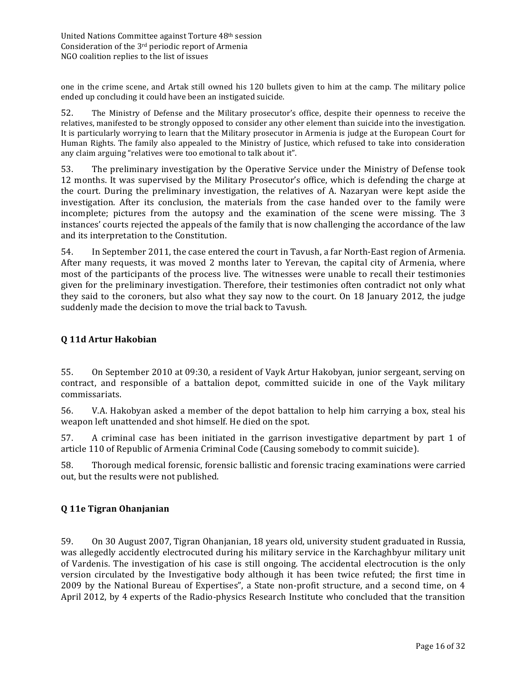one in the crime scene, and Artak still owned his 120 bullets given to him at the camp. The military police ended up concluding it could have been an instigated suicide.

52. The Ministry of Defense and the Military prosecutor's office, despite their openness to receive the relatives, manifested to be strongly opposed to consider any other element than suicide into the investigation. It is particularly worrying to learn that the Military prosecutor in Armenia is judge at the European Court for Human Rights. The family also appealed to the Ministry of Justice, which refused to take into consideration any claim arguing "relatives were too emotional to talk about it".

53. The preliminary investigation by the Operative Service under the Ministry of Defense took 12 months. It was supervised by the Military Prosecutor's office, which is defending the charge at the court. During the preliminary investigation, the relatives of A. Nazaryan were kept aside the investigation. After its conclusion, the materials from the case handed over to the family were incomplete; pictures from the autopsy and the examination of the scene were missing. The 3 instances' courts rejected the appeals of the family that is now challenging the accordance of the law and its interpretation to the Constitution.

54. In September 2011, the case entered the court in Tavush, a far North-East region of Armenia. After many requests, it was moved 2 months later to Yerevan, the capital city of Armenia, where most of the participants of the process live. The witnesses were unable to recall their testimonies given for the preliminary investigation. Therefore, their testimonies often contradict not only what they said to the coroners, but also what they say now to the court. On 18 January 2012, the judge suddenly made the decision to move the trial back to Tavush.

#### **Q 11d Artur Hakobian**

55. On September 2010 at 09:30, a resident of Vayk Artur Hakobyan, junior sergeant, serving on contract, and responsible of a battalion depot, committed suicide in one of the Vayk military commissariats. 

56. V.A. Hakobyan asked a member of the depot battalion to help him carrying a box, steal his weapon left unattended and shot himself. He died on the spot.

57. A criminal case has been initiated in the garrison investigative department by part 1 of article 110 of Republic of Armenia Criminal Code (Causing somebody to commit suicide).

58. Thorough medical forensic, forensic ballistic and forensic tracing examinations were carried out, but the results were not published.

#### **Q 11e Tigran Ohanjanian**

59. On 30 August 2007, Tigran Ohanjanian, 18 years old, university student graduated in Russia, was allegedly accidently electrocuted during his military service in the Karchaghbyur military unit of Vardenis. The investigation of his case is still ongoing. The accidental electrocution is the only version circulated by the Investigative body although it has been twice refuted; the first time in 2009 by the National Bureau of Expertises", a State non-profit structure, and a second time, on 4 April 2012, by 4 experts of the Radio-physics Research Institute who concluded that the transition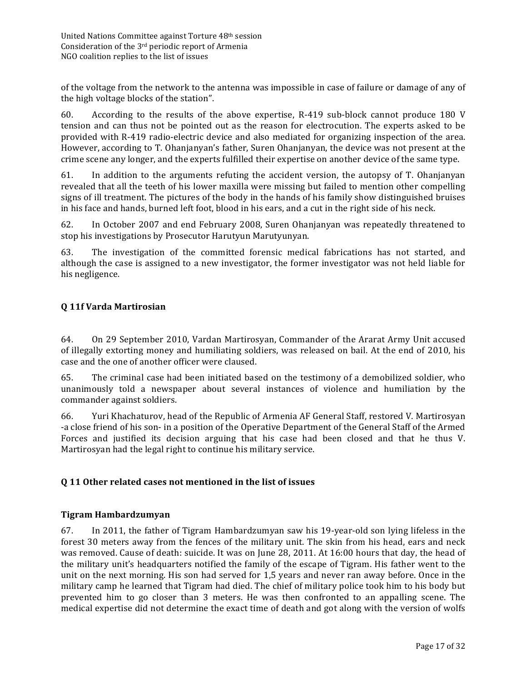of the voltage from the network to the antenna was impossible in case of failure or damage of any of the high voltage blocks of the station".

60. According to the results of the above expertise, R-419 sub-block cannot produce 180 V tension and can thus not be pointed out as the reason for electrocution. The experts asked to be provided with R-419 radio-electric device and also mediated for organizing inspection of the area. However, according to T. Ohanjanyan's father, Suren Ohanjanyan, the device was not present at the crime scene any longer, and the experts fulfilled their expertise on another device of the same type.

61. In addition to the arguments refuting the accident version, the autopsy of T. Ohanjanyan revealed that all the teeth of his lower maxilla were missing but failed to mention other compelling signs of ill treatment. The pictures of the body in the hands of his family show distinguished bruises in his face and hands, burned left foot, blood in his ears, and a cut in the right side of his neck.

62. In October 2007 and end February 2008, Suren Ohanjanyan was repeatedly threatened to stop his investigations by Prosecutor Harutyun Marutyunyan.

63. The investigation of the committed forensic medical fabrications has not started, and although the case is assigned to a new investigator, the former investigator was not held liable for his negligence.

#### **Q 11f Varda Martirosian**

64. On 29 September 2010, Vardan Martirosyan, Commander of the Ararat Army Unit accused of illegally extorting money and humiliating soldiers, was released on bail. At the end of 2010, his case and the one of another officer were claused.

65. The criminal case had been initiated based on the testimony of a demobilized soldier, who unanimously told a newspaper about several instances of violence and humiliation by the commander against soldiers.

66. Yuri Khachaturov, head of the Republic of Armenia AF General Staff, restored V. Martirosyan -a close friend of his son- in a position of the Operative Department of the General Staff of the Armed Forces and justified its decision arguing that his case had been closed and that he thus V. Martirosyan had the legal right to continue his military service.

#### **Q 11 Other related cases not mentioned in the list of issues**

#### **Tigram Hambardzumyan**

67. In 2011, the father of Tigram Hambardzumyan saw his 19-year-old son lying lifeless in the forest 30 meters away from the fences of the military unit. The skin from his head, ears and neck was removed. Cause of death: suicide. It was on June 28, 2011. At 16:00 hours that day, the head of the military unit's headquarters notified the family of the escape of Tigram. His father went to the unit on the next morning. His son had served for 1,5 years and never ran away before. Once in the military camp he learned that Tigram had died. The chief of military police took him to his body but prevented him to go closer than 3 meters. He was then confronted to an appalling scene. The medical expertise did not determine the exact time of death and got along with the version of wolfs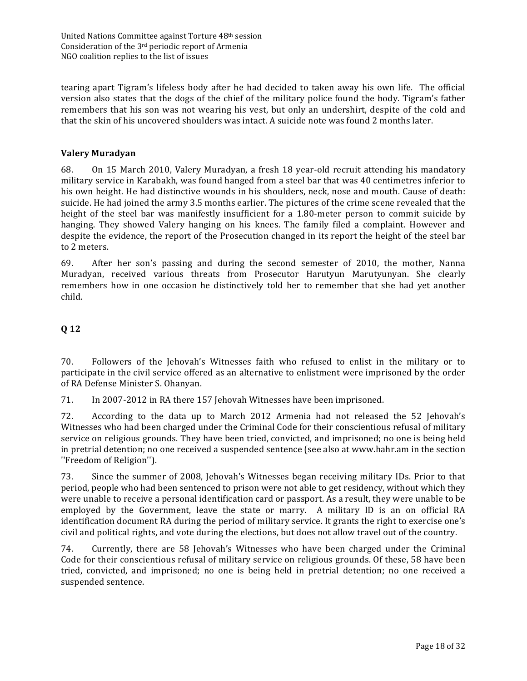tearing apart Tigram's lifeless body after he had decided to taken away his own life. The official version also states that the dogs of the chief of the military police found the body. Tigram's father remembers that his son was not wearing his vest, but only an undershirt, despite of the cold and that the skin of his uncovered shoulders was intact. A suicide note was found 2 months later.

#### **Valery Muradyan**

68. On 15 March 2010, Valery Muradyan, a fresh 18 year-old recruit attending his mandatory military service in Karabakh, was found hanged from a steel bar that was 40 centimetres inferior to his own height. He had distinctive wounds in his shoulders, neck, nose and mouth. Cause of death: suicide. He had joined the army 3.5 months earlier. The pictures of the crime scene revealed that the height of the steel bar was manifestly insufficient for a 1.80-meter person to commit suicide by hanging. They showed Valery hanging on his knees. The family filed a complaint. However and despite the evidence, the report of the Prosecution changed in its report the height of the steel bar to 2 meters.

69. After her son's passing and during the second semester of 2010, the mother, Nanna Muradyan, received various threats from Prosecutor Harutyun Marutyunyan. She clearly remembers how in one occasion he distinctively told her to remember that she had yet another child. 

# **Q 12**

70. Followers of the Jehovah's Witnesses faith who refused to enlist in the military or to participate in the civil service offered as an alternative to enlistment were imprisoned by the order of RA Defense Minister S. Ohanyan.

71. In 2007-2012 in RA there 157 Jehovah Witnesses have been imprisoned.

72. According to the data up to March 2012 Armenia had not released the 52 Jehovah's Witnesses who had been charged under the Criminal Code for their conscientious refusal of military service on religious grounds. They have been tried, convicted, and imprisoned; no one is being held in pretrial detention; no one received a suspended sentence (see also at www.hahr.am in the section ''Freedom of Religion'').

73. Since the summer of 2008, Jehovah's Witnesses began receiving military IDs. Prior to that period, people who had been sentenced to prison were not able to get residency, without which they were unable to receive a personal identification card or passport. As a result, they were unable to be employed by the Government, leave the state or marry. A military ID is an on official RA identification document RA during the period of military service. It grants the right to exercise one's civil and political rights, and vote during the elections, but does not allow travel out of the country.

74. Currently, there are 58 Jehovah's Witnesses who have been charged under the Criminal Code for their conscientious refusal of military service on religious grounds. Of these, 58 have been tried, convicted, and imprisoned; no one is being held in pretrial detention; no one received a suspended sentence.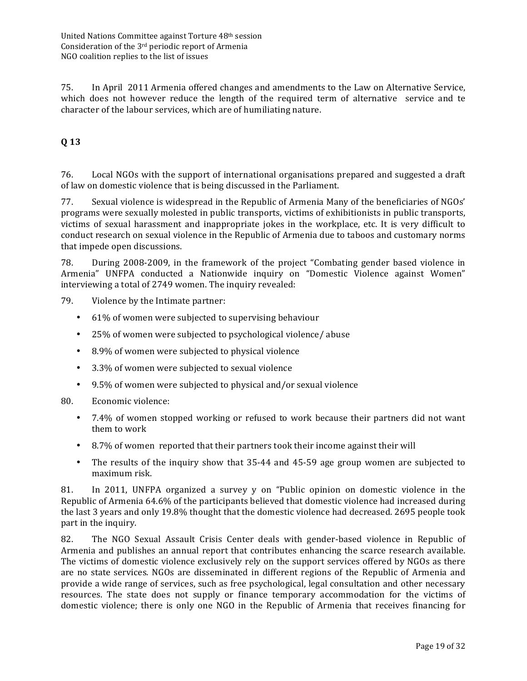75. In April 2011 Armenia offered changes and amendments to the Law on Alternative Service, which does not however reduce the length of the required term of alternative service and te character of the labour services, which are of humiliating nature.

# **Q 13**

76. Local NGOs with the support of international organisations prepared and suggested a draft of law on domestic violence that is being discussed in the Parliament.

77. Sexual violence is widespread in the Republic of Armenia Many of the beneficiaries of NGOs' programs were sexually molested in public transports, victims of exhibitionists in public transports, victims of sexual harassment and inappropriate jokes in the workplace, etc. It is very difficult to conduct research on sexual violence in the Republic of Armenia due to taboos and customary norms that impede open discussions.

78. During 2008-2009, in the framework of the project "Combating gender based violence in Armenia" UNFPA conducted a Nationwide inquiry on "Domestic Violence against Women" interviewing a total of 2749 women. The inquiry revealed:

79. Violence by the Intimate partner:

- 61% of women were subjected to supervising behaviour
- 25% of women were subjected to psychological violence/ abuse
- 8.9% of women were subjected to physical violence
- 3.3% of women were subjected to sexual violence
- 9.5% of women were subjected to physical and/or sexual violence
- 80. Economic violence:
	- 7.4% of women stopped working or refused to work because their partners did not want them to work
	- 8.7% of women reported that their partners took their income against their will
	- The results of the inquiry show that 35-44 and 45-59 age group women are subjected to maximum risk.

81. In 2011, UNFPA organized a survey y on "Public opinion on domestic violence in the Republic of Armenia 64.6% of the participants believed that domestic violence had increased during the last 3 years and only 19.8% thought that the domestic violence had decreased. 2695 people took part in the inquiry.

82. The NGO Sexual Assault Crisis Center deals with gender-based violence in Republic of Armenia and publishes an annual report that contributes enhancing the scarce research available. The victims of domestic violence exclusively rely on the support services offered by NGOs as there are no state services. NGOs are disseminated in different regions of the Republic of Armenia and provide a wide range of services, such as free psychological, legal consultation and other necessary resources. The state does not supply or finance temporary accommodation for the victims of domestic violence; there is only one NGO in the Republic of Armenia that receives financing for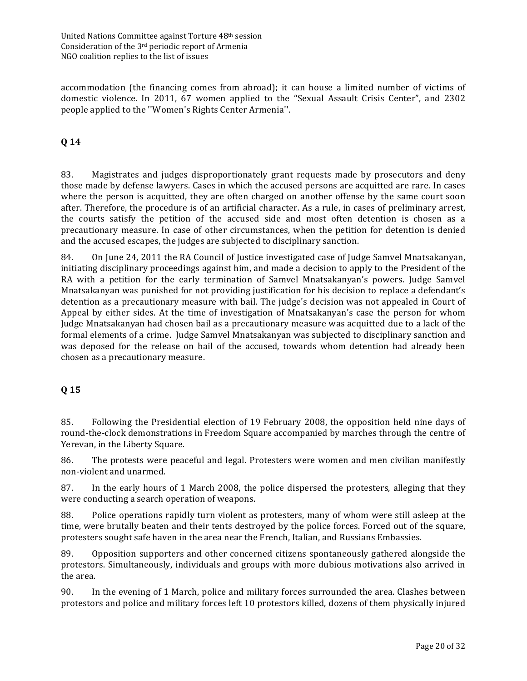accommodation (the financing comes from abroad); it can house a limited number of victims of domestic violence. In 2011, 67 women applied to the "Sexual Assault Crisis Center", and 2302 people applied to the "Women's Rights Center Armenia".

# **Q 14**

83. Magistrates and judges disproportionately grant requests made by prosecutors and deny those made by defense lawyers. Cases in which the accused persons are acquitted are rare. In cases where the person is acquitted, they are often charged on another offense by the same court soon after. Therefore, the procedure is of an artificial character. As a rule, in cases of preliminary arrest, the courts satisfy the petition of the accused side and most often detention is chosen as a precautionary measure. In case of other circumstances, when the petition for detention is denied and the accused escapes, the judges are subjected to disciplinary sanction.

84. On June 24, 2011 the RA Council of Justice investigated case of Judge Samvel Mnatsakanyan, initiating disciplinary proceedings against him, and made a decision to apply to the President of the RA with a petition for the early termination of Samvel Mnatsakanyan's powers. Judge Samvel Mnatsakanyan was punished for not providing justification for his decision to replace a defendant's detention as a precautionary measure with bail. The judge's decision was not appealed in Court of Appeal by either sides. At the time of investigation of Mnatsakanyan's case the person for whom Judge Mnatsakanyan had chosen bail as a precautionary measure was acquitted due to a lack of the formal elements of a crime. Judge Samvel Mnatsakanyan was subjected to disciplinary sanction and was deposed for the release on bail of the accused, towards whom detention had already been chosen as a precautionary measure.

# **Q 15**

85. Following the Presidential election of 19 February 2008, the opposition held nine days of round-the-clock demonstrations in Freedom Square accompanied by marches through the centre of Yerevan, in the Liberty Square.

86. The protests were peaceful and legal. Protesters were women and men civilian manifestly non-violent and unarmed.

87. In the early hours of 1 March 2008, the police dispersed the protesters, alleging that they were conducting a search operation of weapons.

88. Police operations rapidly turn violent as protesters, many of whom were still asleep at the time, were brutally beaten and their tents destroyed by the police forces. Forced out of the square, protesters sought safe haven in the area near the French, Italian, and Russians Embassies.

89. Opposition supporters and other concerned citizens spontaneously gathered alongside the protestors. Simultaneously, individuals and groups with more dubious motivations also arrived in the area.

90. In the evening of 1 March, police and military forces surrounded the area. Clashes between protestors and police and military forces left 10 protestors killed, dozens of them physically injured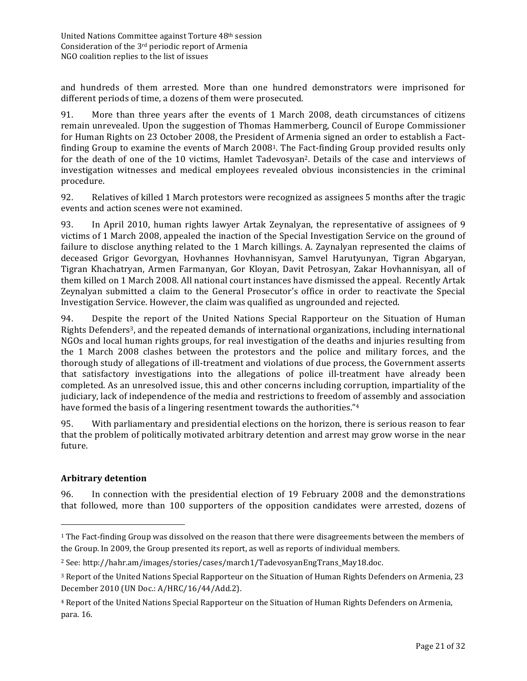and hundreds of them arrested. More than one hundred demonstrators were imprisoned for different periods of time, a dozens of them were prosecuted.

91. More than three years after the events of 1 March 2008, death circumstances of citizens remain unrevealed. Upon the suggestion of Thomas Hammerberg, Council of Europe Commissioner for Human Rights on 23 October 2008, the President of Armenia signed an order to establish a Factfinding Group to examine the events of March 2008<sup>1</sup>. The Fact-finding Group provided results only for the death of one of the 10 victims, Hamlet Tadevosyan<sup>2</sup>. Details of the case and interviews of investigation witnesses and medical employees revealed obvious inconsistencies in the criminal procedure. 

92. Relatives of killed 1 March protestors were recognized as assignees 5 months after the tragic events and action scenes were not examined.

93. In April 2010, human rights lawyer Artak Zeynalyan, the representative of assignees of 9 victims of 1 March 2008, appealed the inaction of the Special Investigation Service on the ground of failure to disclose anything related to the 1 March killings. A. Zaynalyan represented the claims of deceased Grigor Gevorgyan, Hovhannes Hovhannisyan, Samvel Harutyunyan, Tigran Abgaryan, Tigran Khachatryan, Armen Farmanyan, Gor Kloyan, Davit Petrosyan, Zakar Hovhannisyan, all of them killed on 1 March 2008. All national court instances have dismissed the appeal. Recently Artak Zeynalyan submitted a claim to the General Prosecutor's office in order to reactivate the Special Investigation Service. However, the claim was qualified as ungrounded and rejected.

94. Despite the report of the United Nations Special Rapporteur on the Situation of Human Rights Defenders<sup>3</sup>, and the repeated demands of international organizations, including international NGOs and local human rights groups, for real investigation of the deaths and injuries resulting from the 1 March 2008 clashes between the protestors and the police and military forces, and the thorough study of allegations of ill-treatment and violations of due process, the Government asserts that satisfactory investigations into the allegations of police ill-treatment have already been completed. As an unresolved issue, this and other concerns including corruption, impartiality of the judiciary, lack of independence of the media and restrictions to freedom of assembly and association have formed the basis of a lingering resentment towards the authorities."<sup>4</sup>

95. With parliamentary and presidential elections on the horizon, there is serious reason to fear that the problem of politically motivated arbitrary detention and arrest may grow worse in the near future. 

#### **Arbitrary detention**

 $\overline{a}$ 

96. In connection with the presidential election of 19 February 2008 and the demonstrations that followed, more than 100 supporters of the opposition candidates were arrested, dozens of

 $1$  The Fact-finding Group was dissolved on the reason that there were disagreements between the members of the Group. In 2009, the Group presented its report, as well as reports of individual members.

<sup>&</sup>lt;sup>2</sup> See: http://hahr.am/images/stories/cases/march1/TadevosyanEngTrans\_May18.doc.

<sup>&</sup>lt;sup>3</sup> Report of the United Nations Special Rapporteur on the Situation of Human Rights Defenders on Armenia, 23 December 2010 (UN Doc.: A/HRC/16/44/Add.2).

<sup>&</sup>lt;sup>4</sup> Report of the United Nations Special Rapporteur on the Situation of Human Rights Defenders on Armenia, para. 16.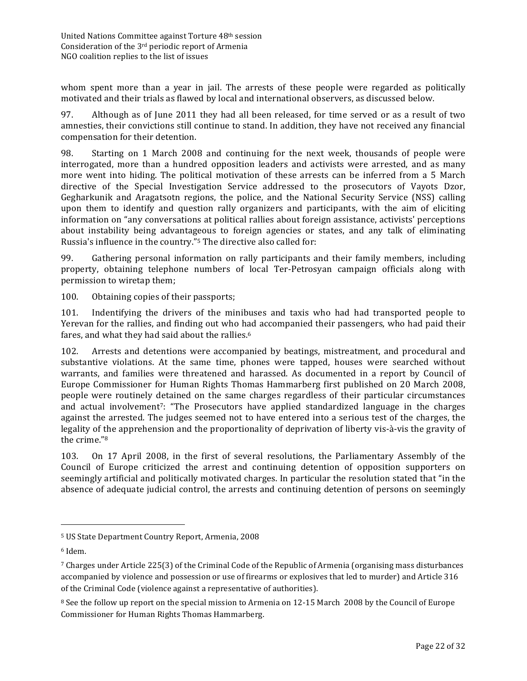whom spent more than a year in jail. The arrests of these people were regarded as politically motivated and their trials as flawed by local and international observers, as discussed below.

97. Although as of June 2011 they had all been released, for time served or as a result of two amnesties, their convictions still continue to stand. In addition, they have not received any financial compensation for their detention.

98. Starting on 1 March 2008 and continuing for the next week, thousands of people were interrogated, more than a hundred opposition leaders and activists were arrested, and as many more went into hiding. The political motivation of these arrests can be inferred from a 5 March directive of the Special Investigation Service addressed to the prosecutors of Vayots Dzor, Gegharkunik and Aragatsotn regions, the police, and the National Security Service (NSS) calling upon them to identify and question rally organizers and participants, with the aim of eliciting information on "any conversations at political rallies about foreign assistance, activists' perceptions about instability being advantageous to foreign agencies or states, and any talk of eliminating Russia's influence in the country."<sup>5</sup> The directive also called for:

99. Gathering personal information on rally participants and their family members, including property, obtaining telephone numbers of local Ter-Petrosyan campaign officials along with permission to wiretap them;

100. Obtaining copies of their passports;

101. Indentifying the drivers of the minibuses and taxis who had had transported people to Yerevan for the rallies, and finding out who had accompanied their passengers, who had paid their fares, and what they had said about the rallies.<sup>6</sup>

102. Arrests and detentions were accompanied by beatings, mistreatment, and procedural and substantive violations. At the same time, phones were tapped, houses were searched without warrants, and families were threatened and harassed. As documented in a report by Council of Europe Commissioner for Human Rights Thomas Hammarberg first published on 20 March 2008, people were routinely detained on the same charges regardless of their particular circumstances and actual involvement<sup>7</sup>: "The Prosecutors have applied standardized language in the charges against the arrested. The judges seemed not to have entered into a serious test of the charges, the legality of the apprehension and the proportionality of deprivation of liberty vis-à-vis the gravity of the crime."<sup>8</sup>

103. On 17 April 2008, in the first of several resolutions, the Parliamentary Assembly of the Council of Europe criticized the arrest and continuing detention of opposition supporters on seemingly artificial and politically motivated charges. In particular the resolution stated that "in the absence of adequate judicial control, the arrests and continuing detention of persons on seemingly

 $\overline{a}$ 

<sup>&</sup>lt;sup>5</sup> US State Department Country Report, Armenia, 2008

<sup>6</sup> Idem.

<sup>&</sup>lt;sup>7</sup> Charges under Article 225(3) of the Criminal Code of the Republic of Armenia (organising mass disturbances accompanied by violence and possession or use of firearms or explosives that led to murder) and Article 316 of the Criminal Code (violence against a representative of authorities).

 $8$  See the follow up report on the special mission to Armenia on 12-15 March 2008 by the Council of Europe Commissioner for Human Rights Thomas Hammarberg.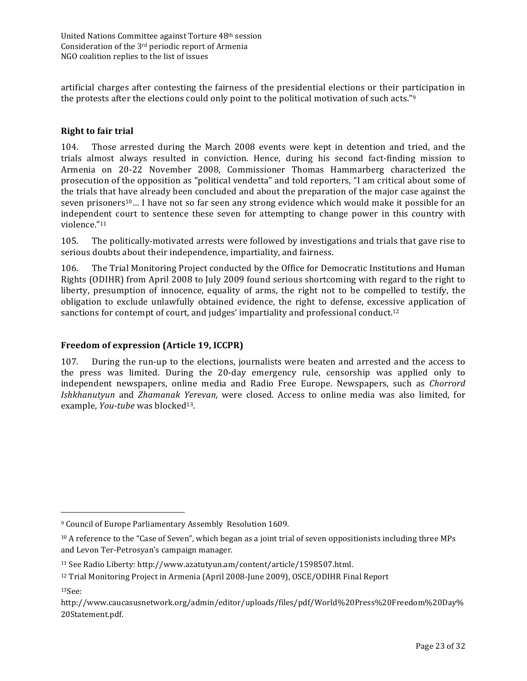artificial charges after contesting the fairness of the presidential elections or their participation in the protests after the elections could only point to the political motivation of such acts." $9$ 

#### **Right to fair trial**

104. Those arrested during the March 2008 events were kept in detention and tried, and the trials almost always resulted in conviction. Hence, during his second fact-finding mission to Armenia on 20-22 November 2008, Commissioner Thomas Hammarberg characterized the prosecution of the opposition as "political vendetta" and told reporters, "I am critical about some of the trials that have already been concluded and about the preparation of the major case against the seven prisoners<sup>10</sup>... I have not so far seen any strong evidence which would make it possible for an independent court to sentence these seven for attempting to change power in this country with violence."11

105. The politically-motivated arrests were followed by investigations and trials that gave rise to serious doubts about their independence, impartiality, and fairness.

106. The Trial Monitoring Project conducted by the Office for Democratic Institutions and Human Rights (ODIHR) from April 2008 to July 2009 found serious shortcoming with regard to the right to liberty, presumption of innocence, equality of arms, the right not to be compelled to testify, the obligation to exclude unlawfully obtained evidence, the right to defense, excessive application of sanctions for contempt of court, and judges' impartiality and professional conduct.<sup>12</sup>

#### **Freedom of expression (Article 19, ICCPR)**

107. During the run-up to the elections, journalists were beaten and arrested and the access to the press was limited. During the 20-day emergency rule, censorship was applied only to independent newspapers, online media and Radio Free Europe. Newspapers, such as *Chorrord Ishkhanutyun* and *Zhamanak Yerevan*, were closed. Access to online media was also limited, for example, *You-tube* was blocked<sup>13</sup>.

13See: 

 $\overline{a}$ 

<sup>&</sup>lt;sup>9</sup> Council of Europe Parliamentary Assembly Resolution 1609.

 $10$  A reference to the "Case of Seven", which began as a joint trial of seven oppositionists including three MPs and Levon Ter-Petrosyan's campaign manager.

<sup>&</sup>lt;sup>11</sup> See Radio Liberty: http://www.azatutyun.am/content/article/1598507.html.

<sup>&</sup>lt;sup>12</sup> Trial Monitoring Project in Armenia (April 2008-June 2009), OSCE/ODIHR Final Report

http://www.caucasusnetwork.org/admin/editor/uploads/files/pdf/World%20Press%20Freedom%20Day% 20Statement.pdf.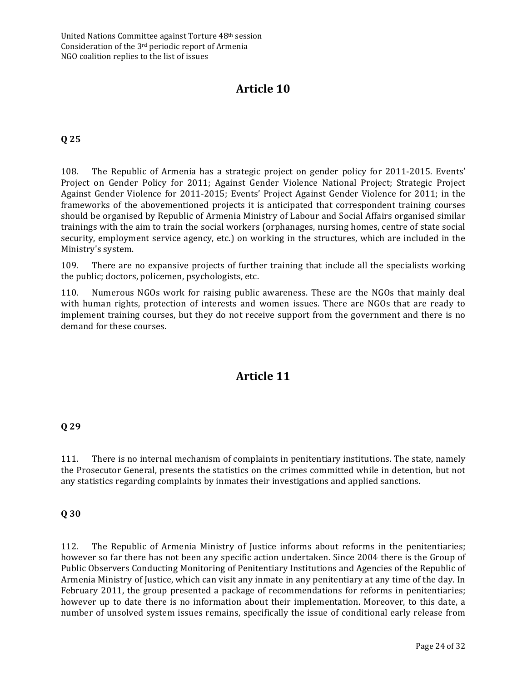# Article 10

# **Q 25**

108. The Republic of Armenia has a strategic project on gender policy for 2011-2015. Events' Project on Gender Policy for 2011; Against Gender Violence National Project; Strategic Project Against Gender Violence for 2011-2015; Events' Project Against Gender Violence for 2011; in the frameworks of the abovementioned projects it is anticipated that correspondent training courses should be organised by Republic of Armenia Ministry of Labour and Social Affairs organised similar trainings with the aim to train the social workers (orphanages, nursing homes, centre of state social security, employment service agency, etc.) on working in the structures, which are included in the Ministry's system.

109. There are no expansive projects of further training that include all the specialists working the public; doctors, policemen, psychologists, etc.

110. Numerous NGOs work for raising public awareness. These are the NGOs that mainly deal with human rights, protection of interests and women issues. There are NGOs that are ready to implement training courses, but they do not receive support from the government and there is no demand for these courses.

# **Article 11**

#### **Q 29**

111. There is no internal mechanism of complaints in penitentiary institutions. The state, namely the Prosecutor General, presents the statistics on the crimes committed while in detention, but not any statistics regarding complaints by inmates their investigations and applied sanctions.

#### **Q 30**

112. The Republic of Armenia Ministry of Justice informs about reforms in the penitentiaries; however so far there has not been any specific action undertaken. Since 2004 there is the Group of Public Observers Conducting Monitoring of Penitentiary Institutions and Agencies of the Republic of Armenia Ministry of Justice, which can visit any inmate in any penitentiary at any time of the day. In February 2011, the group presented a package of recommendations for reforms in penitentiaries; however up to date there is no information about their implementation. Moreover, to this date, a number of unsolved system issues remains, specifically the issue of conditional early release from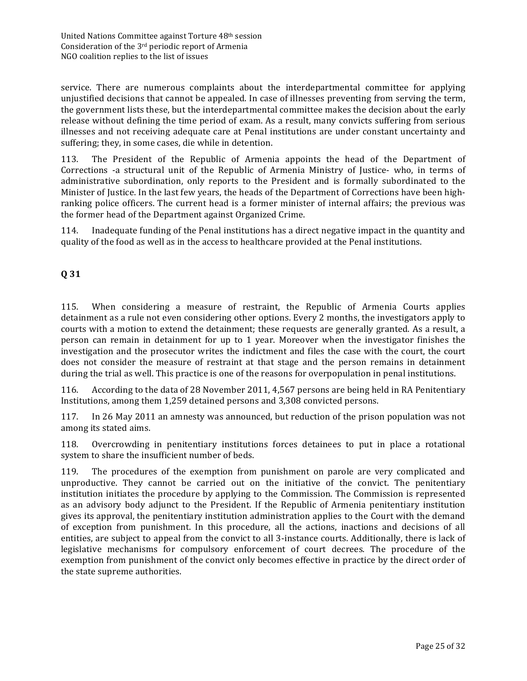service. There are numerous complaints about the interdepartmental committee for applying unjustified decisions that cannot be appealed. In case of illnesses preventing from serving the term, the government lists these, but the interdepartmental committee makes the decision about the early release without defining the time period of exam. As a result, many convicts suffering from serious illnesses and not receiving adequate care at Penal institutions are under constant uncertainty and suffering; they, in some cases, die while in detention.

113. The President of the Republic of Armenia appoints the head of the Department of Corrections -a structural unit of the Republic of Armenia Ministry of Justice- who, in terms of administrative subordination, only reports to the President and is formally subordinated to the Minister of Justice. In the last few years, the heads of the Department of Corrections have been highranking police officers. The current head is a former minister of internal affairs; the previous was the former head of the Department against Organized Crime.

114. Inadequate funding of the Penal institutions has a direct negative impact in the quantity and quality of the food as well as in the access to healthcare provided at the Penal institutions.

# **Q 31**

115. When considering a measure of restraint, the Republic of Armenia Courts applies detainment as a rule not even considering other options. Every 2 months, the investigators apply to courts with a motion to extend the detainment; these requests are generally granted. As a result, a person can remain in detainment for up to 1 year. Moreover when the investigator finishes the investigation and the prosecutor writes the indictment and files the case with the court, the court does not consider the measure of restraint at that stage and the person remains in detainment during the trial as well. This practice is one of the reasons for overpopulation in penal institutions.

116. According to the data of 28 November 2011, 4,567 persons are being held in RA Penitentiary Institutions, among them 1,259 detained persons and 3,308 convicted persons.

117. In 26 May 2011 an amnesty was announced, but reduction of the prison population was not among its stated aims.

118. Overcrowding in penitentiary institutions forces detainees to put in place a rotational system to share the insufficient number of beds.

119. The procedures of the exemption from punishment on parole are very complicated and unproductive. They cannot be carried out on the initiative of the convict. The penitentiary institution initiates the procedure by applying to the Commission. The Commission is represented as an advisory body adjunct to the President. If the Republic of Armenia penitentiary institution gives its approval, the penitentiary institution administration applies to the Court with the demand of exception from punishment. In this procedure, all the actions, inactions and decisions of all entities, are subject to appeal from the convict to all 3-instance courts. Additionally, there is lack of legislative mechanisms for compulsory enforcement of court decrees. The procedure of the exemption from punishment of the convict only becomes effective in practice by the direct order of the state supreme authorities.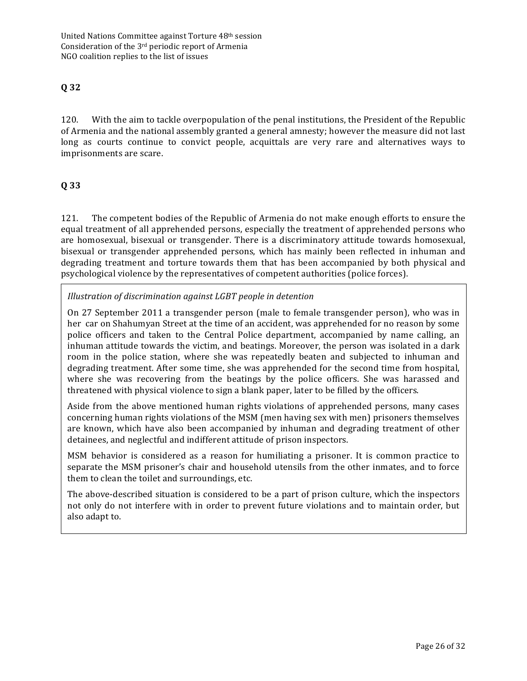# **Q 32**

120. With the aim to tackle overpopulation of the penal institutions, the President of the Republic of Armenia and the national assembly granted a general amnesty; however the measure did not last long as courts continue to convict people, acquittals are very rare and alternatives ways to imprisonments are scare.

# **Q 33**

121. The competent bodies of the Republic of Armenia do not make enough efforts to ensure the equal treatment of all apprehended persons, especially the treatment of apprehended persons who are homosexual, bisexual or transgender. There is a discriminatory attitude towards homosexual, bisexual or transgender apprehended persons, which has mainly been reflected in inhuman and degrading treatment and torture towards them that has been accompanied by both physical and psychological violence by the representatives of competent authorities (police forces).

*Illustration of discrimination against LGBT people in detention*

On 27 September 2011 a transgender person (male to female transgender person), who was in her car on Shahumyan Street at the time of an accident, was apprehended for no reason by some police officers and taken to the Central Police department, accompanied by name calling, an inhuman attitude towards the victim, and beatings. Moreover, the person was isolated in a dark room in the police station, where she was repeatedly beaten and subjected to inhuman and degrading treatment. After some time, she was apprehended for the second time from hospital, where she was recovering from the beatings by the police officers. She was harassed and threatened with physical violence to sign a blank paper, later to be filled by the officers.

Aside from the above mentioned human rights violations of apprehended persons, many cases concerning human rights violations of the MSM (men having sex with men) prisoners themselves are known, which have also been accompanied by inhuman and degrading treatment of other detainees, and neglectful and indifferent attitude of prison inspectors.

MSM behavior is considered as a reason for humiliating a prisoner. It is common practice to separate the MSM prisoner's chair and household utensils from the other inmates, and to force them to clean the toilet and surroundings, etc.

The above-described situation is considered to be a part of prison culture, which the inspectors not only do not interfere with in order to prevent future violations and to maintain order, but also adapt to.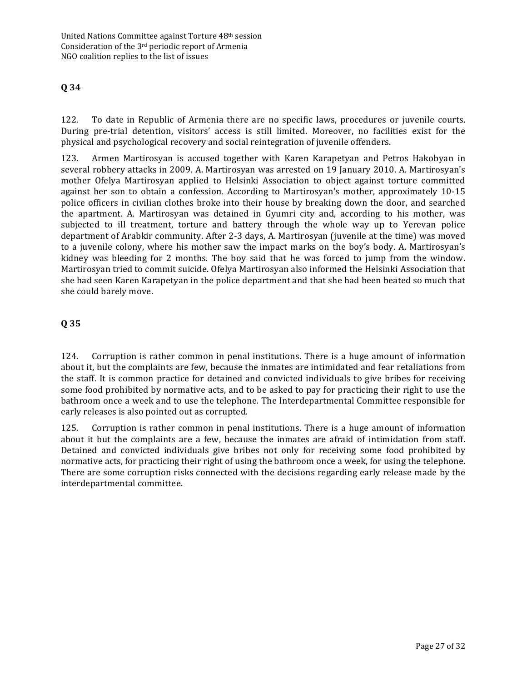# **Q 34**

122. To date in Republic of Armenia there are no specific laws, procedures or juvenile courts. During pre-trial detention, visitors' access is still limited. Moreover, no facilities exist for the physical and psychological recovery and social reintegration of juvenile offenders.

123. Armen Martirosyan is accused together with Karen Karapetyan and Petros Hakobyan in several robbery attacks in 2009. A. Martirosyan was arrested on 19 January 2010. A. Martirosyan's mother Ofelya Martirosyan applied to Helsinki Association to object against torture committed against her son to obtain a confession. According to Martirosyan's mother, approximately 10-15 police officers in civilian clothes broke into their house by breaking down the door, and searched the apartment. A. Martirosyan was detained in Gyumri city and, according to his mother, was subjected to ill treatment, torture and battery through the whole way up to Yerevan police department of Arabkir community. After 2-3 days, A. Martirosyan (juvenile at the time) was moved to a juvenile colony, where his mother saw the impact marks on the boy's body. A. Martirosyan's kidney was bleeding for 2 months. The boy said that he was forced to jump from the window. Martirosyan tried to commit suicide. Ofelya Martirosyan also informed the Helsinki Association that she had seen Karen Karapetyan in the police department and that she had been beated so much that she could barely move.

## **Q 35**

124. Corruption is rather common in penal institutions. There is a huge amount of information about it, but the complaints are few, because the inmates are intimidated and fear retaliations from the staff. It is common practice for detained and convicted individuals to give bribes for receiving some food prohibited by normative acts, and to be asked to pay for practicing their right to use the bathroom once a week and to use the telephone. The Interdepartmental Committee responsible for early releases is also pointed out as corrupted.

125. Corruption is rather common in penal institutions. There is a huge amount of information about it but the complaints are a few, because the inmates are afraid of intimidation from staff. Detained and convicted individuals give bribes not only for receiving some food prohibited by normative acts, for practicing their right of using the bathroom once a week, for using the telephone. There are some corruption risks connected with the decisions regarding early release made by the interdepartmental committee.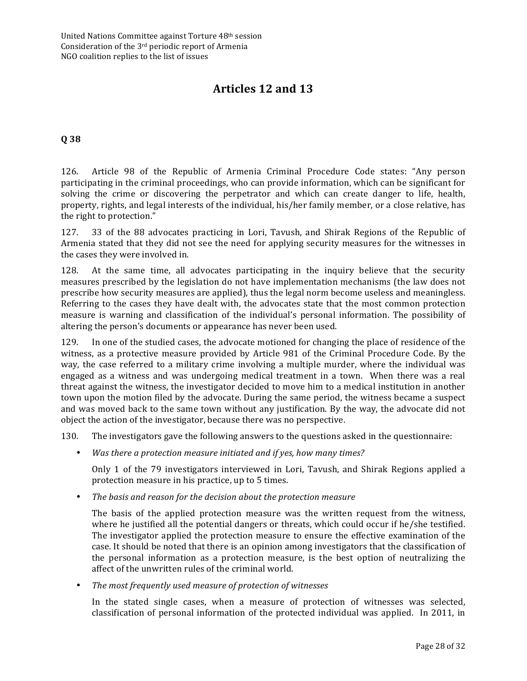# **Articles 12 and 13**

#### **Q 38**

126. Article 98 of the Republic of Armenia Criminal Procedure Code states: "Any person participating in the criminal proceedings, who can provide information, which can be significant for solving the crime or discovering the perpetrator and which can create danger to life, health, property, rights, and legal interests of the individual, his/her family member, or a close relative, has the right to protection."

127. 33 of the 88 advocates practicing in Lori, Tavush, and Shirak Regions of the Republic of Armenia stated that they did not see the need for applying security measures for the witnesses in the cases they were involved in.

128. At the same time, all advocates participating in the inquiry believe that the security measures prescribed by the legislation do not have implementation mechanisms (the law does not prescribe how security measures are applied), thus the legal norm become useless and meaningless. Referring to the cases they have dealt with, the advocates state that the most common protection measure is warning and classification of the individual's personal information. The possibility of altering the person's documents or appearance has never been used.

129. In one of the studied cases, the advocate motioned for changing the place of residence of the witness, as a protective measure provided by Article 981 of the Criminal Procedure Code. By the way, the case referred to a military crime involving a multiple murder, where the individual was engaged as a witness and was undergoing medical treatment in a town. When there was a real threat against the witness, the investigator decided to move him to a medical institution in another town upon the motion filed by the advocate. During the same period, the witness became a suspect and was moved back to the same town without any justification. By the way, the advocate did not object the action of the investigator, because there was no perspective.

130. The investigators gave the following answers to the questions asked in the questionnaire:

• Was there a protection measure initiated and if yes, how many times?

Only 1 of the 79 investigators interviewed in Lori, Tavush, and Shirak Regions applied a protection measure in his practice, up to 5 times.

The basis and reason for the decision about the protection measure

The basis of the applied protection measure was the written request from the witness, where he justified all the potential dangers or threats, which could occur if he/she testified. The investigator applied the protection measure to ensure the effective examination of the case. It should be noted that there is an opinion among investigators that the classification of the personal information as a protection measure, is the best option of neutralizing the affect of the unwritten rules of the criminal world.

The most frequently used measure of protection of witnesses

In the stated single cases, when a measure of protection of witnesses was selected, classification of personal information of the protected individual was applied. In 2011, in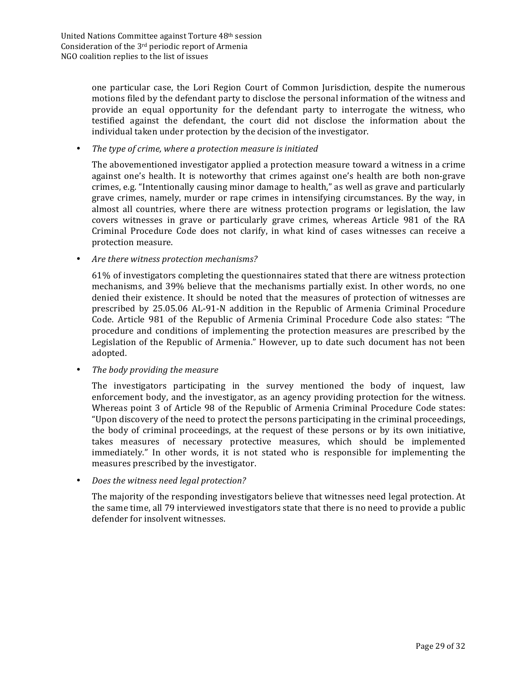one particular case, the Lori Region Court of Common Jurisdiction, despite the numerous motions filed by the defendant party to disclose the personal information of the witness and provide an equal opportunity for the defendant party to interrogate the witness, who testified against the defendant, the court did not disclose the information about the individual taken under protection by the decision of the investigator.

#### The type of crime, where a protection measure is initiated

The abovementioned investigator applied a protection measure toward a witness in a crime against one's health. It is noteworthy that crimes against one's health are both non-grave crimes, e.g. "Intentionally causing minor damage to health," as well as grave and particularly grave crimes, namely, murder or rape crimes in intensifying circumstances. By the way, in almost all countries, where there are witness protection programs or legislation, the law covers witnesses in grave or particularly grave crimes, whereas Article 981 of the RA Criminal Procedure Code does not clarify, in what kind of cases witnesses can receive a protection measure.

#### Are there witness protection mechanisms?

61% of investigators completing the questionnaires stated that there are witness protection mechanisms, and 39% believe that the mechanisms partially exist. In other words, no one denied their existence. It should be noted that the measures of protection of witnesses are prescribed by 25.05.06 AL-91-N addition in the Republic of Armenia Criminal Procedure Code. Article 981 of the Republic of Armenia Criminal Procedure Code also states: "The procedure and conditions of implementing the protection measures are prescribed by the Legislation of the Republic of Armenia." However, up to date such document has not been adopted. 

#### The body providing the measure

The investigators participating in the survey mentioned the body of inquest, law enforcement body, and the investigator, as an agency providing protection for the witness. Whereas point 3 of Article 98 of the Republic of Armenia Criminal Procedure Code states: "Upon discovery of the need to protect the persons participating in the criminal proceedings, the body of criminal proceedings, at the request of these persons or by its own initiative, takes measures of necessary protective measures, which should be implemented immediately." In other words, it is not stated who is responsible for implementing the measures prescribed by the investigator.

#### *Does the witness need legal protection?*

The majority of the responding investigators believe that witnesses need legal protection. At the same time, all 79 interviewed investigators state that there is no need to provide a public defender for insolvent witnesses.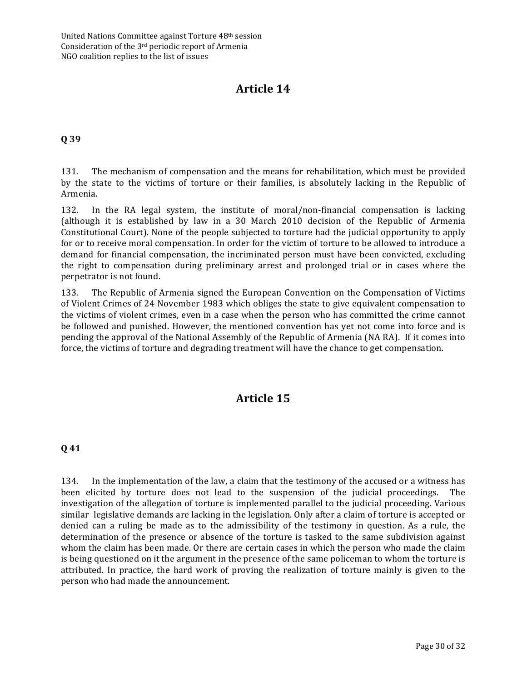# **Article 14**

## **Q 39**

131. The mechanism of compensation and the means for rehabilitation, which must be provided by the state to the victims of torture or their families, is absolutely lacking in the Republic of Armenia. 

132. In the RA legal system, the institute of moral/non-financial compensation is lacking (although it is established by law in a 30 March 2010 decision of the Republic of Armenia Constitutional Court). None of the people subjected to torture had the judicial opportunity to apply for or to receive moral compensation. In order for the victim of torture to be allowed to introduce a demand for financial compensation, the incriminated person must have been convicted, excluding the right to compensation during preliminary arrest and prolonged trial or in cases where the perpetrator is not found.

133. The Republic of Armenia signed the European Convention on the Compensation of Victims of Violent Crimes of 24 November 1983 which obliges the state to give equivalent compensation to the victims of violent crimes, even in a case when the person who has committed the crime cannot be followed and punished. However, the mentioned convention has yet not come into force and is pending the approval of the National Assembly of the Republic of Armenia (NA RA). If it comes into force, the victims of torture and degrading treatment will have the chance to get compensation.

# **Article 15**

#### **Q 41**

134. In the implementation of the law, a claim that the testimony of the accused or a witness has been elicited by torture does not lead to the suspension of the judicial proceedings. The investigation of the allegation of torture is implemented parallel to the judicial proceeding. Various similar legislative demands are lacking in the legislation. Only after a claim of torture is accepted or denied can a ruling be made as to the admissibility of the testimony in question. As a rule, the determination of the presence or absence of the torture is tasked to the same subdivision against whom the claim has been made. Or there are certain cases in which the person who made the claim is being questioned on it the argument in the presence of the same policeman to whom the torture is attributed. In practice, the hard work of proving the realization of torture mainly is given to the person who had made the announcement.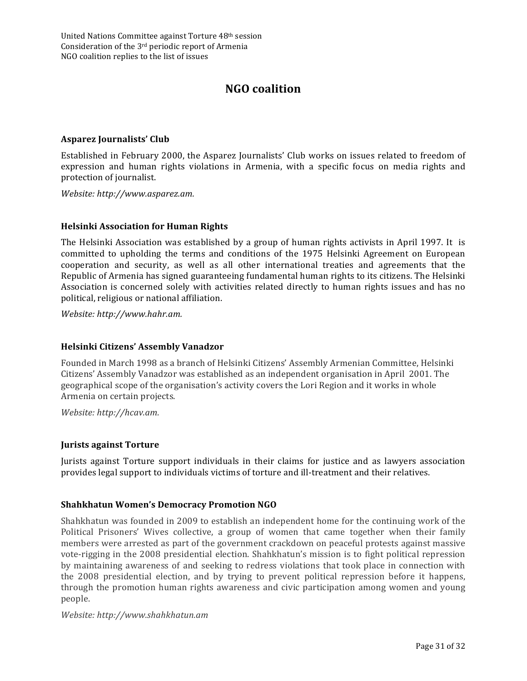# **NGO coalition**

#### Asparez Journalists' Club

Established in February 2000, the Asparez Journalists' Club works on issues related to freedom of expression and human rights violations in Armenia, with a specific focus on media rights and protection of journalist.

*Website: http://www.asparez.am.*

#### **Helsinki Association for Human Rights**

The Helsinki Association was established by a group of human rights activists in April 1997. It is committed to upholding the terms and conditions of the 1975 Helsinki Agreement on European cooperation and security, as well as all other international treaties and agreements that the Republic of Armenia has signed guaranteeing fundamental human rights to its citizens. The Helsinki Association is concerned solely with activities related directly to human rights issues and has no political, religious or national affiliation.

*Website: http://www.hahr.am.*

#### **Helsinki Citizens' Assembly Vanadzor**

Founded in March 1998 as a branch of Helsinki Citizens' Assembly Armenian Committee, Helsinki Citizens' Assembly Vanadzor was established as an independent organisation in April 2001. The geographical scope of the organisation's activity covers the Lori Region and it works in whole Armenia on certain projects.

*Website: http://hcav.am.*

#### **Jurists against Torture**

Jurists against Torture support individuals in their claims for justice and as lawyers association provides legal support to individuals victims of torture and ill-treatment and their relatives.

#### **Shahkhatun Women's Democracy Promotion NGO**

Shahkhatun was founded in 2009 to establish an independent home for the continuing work of the Political Prisoners' Wives collective, a group of women that came together when their family members were arrested as part of the government crackdown on peaceful protests against massive vote-rigging in the 2008 presidential election. Shahkhatun's mission is to fight political repression by maintaining awareness of and seeking to redress violations that took place in connection with the 2008 presidential election, and by trying to prevent political repression before it happens, through the promotion human rights awareness and civic participation among women and young people.

*Website: http://www.shahkhatun.am*